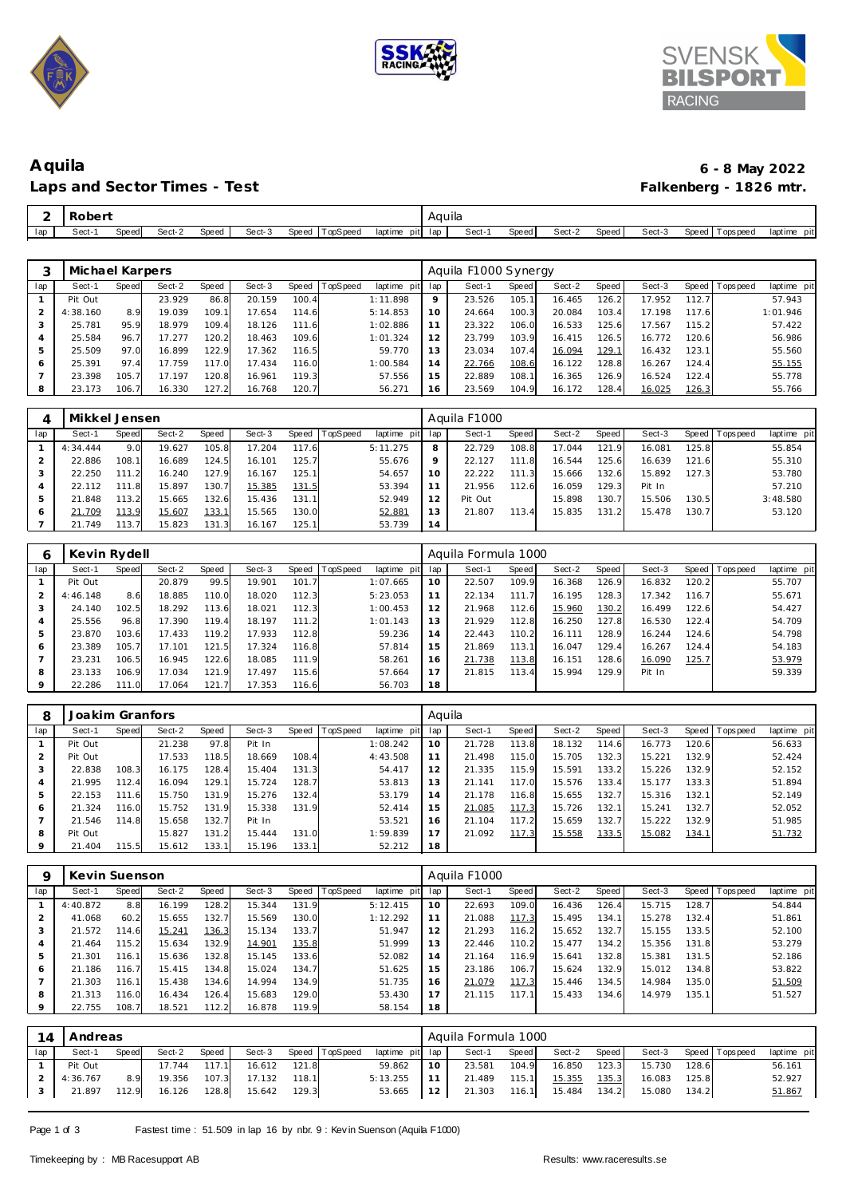





# **Aquila 6 - 8 May 2022** Laps and Sector Times - Test

| ∸   | $\sim$ |       |        |       |        |       |           |                 | Aauila |       |       |        |       |        |                     |                |
|-----|--------|-------|--------|-------|--------|-------|-----------|-----------------|--------|-------|-------|--------|-------|--------|---------------------|----------------|
| lap | Sect-  | Speed | Sect-2 | Speed | Sect-3 | Speed | TopSpee a | laptime<br>pitl | lap    | Sect- | Speed | Sect-2 | Speed | Sect-3 | Speed<br>Fops pee d | iaptime<br>pit |

|     | Michael Karpers |       |        |       |        |       |          |                 |         | Aquila F1000 Synergy |       |        |       |        |       |                 |             |
|-----|-----------------|-------|--------|-------|--------|-------|----------|-----------------|---------|----------------------|-------|--------|-------|--------|-------|-----------------|-------------|
| lap | Sect-1          | Speed | Sect-2 | Speed | Sect-3 | Speed | TopSpeed | laptime pit lap |         | Sect-1               | Speed | Sect-2 | Speed | Sect-3 |       | Speed Tops peed | laptime pit |
|     | Pit Out         |       | 23.929 | 86.8  | 20.159 | 100.4 |          | 1:11.898        | $\circ$ | 23.526               | 105.1 | 16.465 | 126.2 | 17.952 | 112.7 |                 | 57.943      |
|     | 4:38.160        | 8.9   | 19.039 | 109.  | 17.654 | 114.6 |          | 5:14.853        | 10      | 24.664               | 100.3 | 20.084 | 103.4 | 17.198 | 117.6 |                 | 1:01.946    |
|     | 25.781          | 95.9  | 18.979 | 109.4 | 18.126 | 111.6 |          | 1:02.886        | 11      | 23.322               | 106.0 | 16.533 | 125.6 | 17.567 | 115.2 |                 | 57.422      |
| 4   | 25.584          | 96.7  | 17.277 | 120.2 | 18.463 | 109.6 |          | 1:01.324        | 12      | 23.799               | 103.9 | 16.415 | 126.5 | 16.772 | 120.6 |                 | 56.986      |
| 5   | 25.509          | 97.0  | 16.899 | 122.9 | 17.362 | 116.5 |          | 59.770          | 13      | 23.034               | 107.4 | 16.094 | 129.1 | 16.432 | 123.1 |                 | 55.560      |
| 6   | 25.391          | 97.4  | 17.759 | 117.0 | 17.434 | 116.0 |          | 1:00.584        | 14      | 22.766               | 108.6 | 16.122 | 128.8 | 16.267 | 124.4 |                 | 55.155      |
|     | 23.398          | 105.7 | 17.197 | 120.8 | 16.961 | 119.3 |          | 57.556          | 15      | 22.889               | 108.1 | 16.365 | 126.9 | 16.524 | 122.4 |                 | 55.778      |
| 8   | 23.173          | 106.7 | 16.330 | 127.2 | 16.768 | 120.7 |          | 56.271          | 16      | 23.569               | 104.9 | 16.172 | 128.4 | 16.025 | 126.3 |                 | 55.766      |

|     | Mikkel Jensen |       |               |       |        |       |                 |             |         | Aquila F1000 |       |        |                       |        |       |                               |
|-----|---------------|-------|---------------|-------|--------|-------|-----------------|-------------|---------|--------------|-------|--------|-----------------------|--------|-------|-------------------------------|
| lap | Sect-1        | Speed | Sect-2        | Speed | Sect-3 | Speed | <b>TopSpeed</b> | laptime pit | lap     | Sect-1       | Speed | Sect-2 | Speed                 | Sect-3 |       | Speed Topspeed<br>laptime pit |
|     | 4:34.444      | 9.0   | 19.627        | 105.8 | 17.204 | 117.6 |                 | 5:11.275    | 8       | 22.729       | 108.8 | 17.044 | 121.9                 | 16.081 | 125.8 | 55.854                        |
|     | 22.886        | 108.1 | 16.689        | 124.5 | 16.101 | 125.7 |                 | 55.676      | $\circ$ | 22.127       | 111.8 | 16.544 | 125.6                 | 16.639 | 121.6 | 55.310                        |
|     | 22.250        | 111.2 | 16.240        | 127.9 | 16.167 | 125.1 |                 | 54.657      | 10      | 22.222       | 111.3 | 15.666 | 132.6                 | 15.892 | 127.3 | 53.780                        |
|     | 22.112        | 111.8 | 15.897        | 130.7 | 15.385 | 131.5 |                 | 53.394      |         | 21.956       | 112.6 | 16.059 | 129.3                 | Pit In |       | 57.210                        |
|     | 21.848        | 113.2 | 15.665        | 132.6 | 15.436 | 131.1 |                 | 52.949      |         | Pit Out      |       | 15.898 | 130.7                 | 15.506 | 130.5 | 3:48.580                      |
|     | 21.709        | 113.9 | <u>15.607</u> | 133.1 | 15.565 | 130.0 |                 | 52.881      | l 3     | 21.807       | 113.4 | 15.835 | 131<br>$\overline{2}$ | 15.478 | 130.7 | 53.120                        |
|     | .749          | 113.7 | 15.823        | 131.3 | 16.167 | 125.1 |                 | 53.739      | 14      |              |       |        |                       |        |       |                               |

| 6   | Kevin Rydell |       |        |       |        |       |                 |             |     | Aquila Formula 1000 |       |        |              |        |       |                   |             |
|-----|--------------|-------|--------|-------|--------|-------|-----------------|-------------|-----|---------------------|-------|--------|--------------|--------|-------|-------------------|-------------|
| lap | Sect-1       | Speed | Sect-2 | Speed | Sect-3 | Speed | <b>TopSpeed</b> | laptime pit | lap | Sect-1              | Speed | Sect-2 | <b>Speed</b> | Sect-3 |       | Speed   Tops peed | laptime pit |
|     | Pit Out      |       | 20.879 | 99.5  | 19.901 | 101.7 |                 | 1:07.665    | 10  | 22.507              | 109.9 | 16.368 | 126.9        | 16.832 | 120.2 |                   | 55.707      |
| 2   | 4:46.148     | 8.6   | 18.885 | 110.0 | 18.020 | 112.3 |                 | 5:23.053    | 11  | 22.134              | 111.7 | 16.195 | 128.3        | 17.342 | 116.7 |                   | 55.671      |
|     | 24.140       | 102.5 | 18.292 | 113.6 | 18.021 | 112.3 |                 | 1:00.453    | 12  | 21.968              | 112.6 | 15.960 | 130.2        | 16.499 | 122.6 |                   | 54.427      |
| 4   | 25.556       | 96.8  | 17.390 | 119.4 | 18.197 | 111.2 |                 | 1:01.143    | 13  | 21.929              | 112.8 | 16.250 | 127.8        | 16.530 | 122.4 |                   | 54.709      |
| 5   | 23.870       | 103.6 | 17.433 | 119.2 | 17.933 | 112.8 |                 | 59.236      | 14  | 22.443              | 110.2 | 16.111 | 128.9        | 16.244 | 124.6 |                   | 54.798      |
| 6   | 23.389       | 105.7 | 17.101 | 121.5 | 17.324 | 116.8 |                 | 57.814      | 15  | 21.869              | 113.1 | 16.047 | 129.4        | 16.267 | 124.4 |                   | 54.183      |
|     | 23.231       | 106.5 | 16.945 | 122.6 | 18.085 | 111.9 |                 | 58.261      | 16  | 21.738              | 113.8 | 16.151 | 128.6        | 16.090 | 125.7 |                   | 53.979      |
| 8   | 23.133       | 106.9 | 17.034 | 121.9 | 17.497 | 115.6 |                 | 57.664      | 17  | 21.815              | 113.4 | 15.994 | 129.9        | Pit In |       |                   | 59.339      |
| 9   | 22.286       | 111.0 | 17.064 | 121.7 | 17.353 | 116.6 |                 | 56.703      | 18  |                     |       |        |              |        |       |                   |             |

| 8   | Joakim Granfors |            |        |       |        |       |          |                | Aquila |        |       |        |       |        |       |           |             |
|-----|-----------------|------------|--------|-------|--------|-------|----------|----------------|--------|--------|-------|--------|-------|--------|-------|-----------|-------------|
| lap | Sect-1          | Speed      | Sect-2 | Speed | Sect-3 | Speed | TopSpeed | laptime<br>pit | lap    | Sect-1 | Speed | Sect-2 | Speed | Sect-3 | Speed | Tops peed | laptime pit |
|     | Pit Out         |            | 21.238 | 97.8  | Pit In |       |          | 1:08.242       | 10     | 21.728 | 113.8 | 18.132 | 114.6 | 16.773 | 120.6 |           | 56.633      |
|     | Pit Out         |            | 17.533 | 118.5 | 18.669 | 108.4 |          | 4:43.508       |        | 21.498 | 115.0 | 15.705 | 132.3 | 15.221 | 132.9 |           | 52.424      |
| ۍ   | 22.838          | 108.3      | 16.175 | 128.4 | 15.404 | 131.3 |          | 54.417         | 12     | 21.335 | 115.9 | 15.591 | 133.2 | 15.226 | 132.9 |           | 52.152      |
|     | 21.995          | 112.4      | 16.094 | 129.1 | 15.724 | 128.7 |          | 53.813         | 13     | 21.141 | 117.0 | 15.576 | 133.4 | 15.177 | 133.3 |           | 51.894      |
| 5   | 22.153          | 111<br>-61 | 15.750 | 131.9 | 15.276 | 132.4 |          | 53.179         | 14     | 21.178 | 116.8 | 15.655 | 132.7 | 15.316 | 132.1 |           | 52.149      |
| 6   | .324<br>21      | 116.0      | 15.752 | 131.9 | 15.338 | 131.9 |          | 52.414         | 15     | 21.085 | 117.3 | 15.726 | 132.1 | 15.241 | 132.7 |           | 52.052      |
|     | 21.546          | 114.8      | 15.658 | 132.7 | Pit In |       |          | 53.521         | 16     | 21.104 | 117.2 | 15.659 | 132.7 | 15.222 | 132.9 |           | 51.985      |
| 8   | Pit Out         |            | 15.827 | 131.2 | 15.444 | 131.0 |          | 1:59.839       | . 7    | 21.092 | 117.3 | 15.558 | 133.5 | 15.082 | 134.1 |           | 51.732      |
|     | 21.404          | 115.5      | 15.612 | 133.1 | 15.196 | 133.1 |          | 52.212         | 18     |        |       |        |       |        |       |           |             |

| O       | Kevin Suenson |       |        |       |        |       |                 |             |     | Aguila F1000 |       |        |       |        |       |            |             |
|---------|---------------|-------|--------|-------|--------|-------|-----------------|-------------|-----|--------------|-------|--------|-------|--------|-------|------------|-------------|
| lap     | Sect-1        | Speed | Sect-2 | Speed | Sect-3 | Speed | <b>TopSpeed</b> | laptime pit | lap | Sect-1       | Speed | Sect-2 | Speed | Sect-3 | Speed | Tops pee d | laptime pit |
|         | 4:40.872      | 8.8   | 16.199 | 128.2 | 15.344 | 131.9 |                 | 5:12.415    | 10  | 22.693       | 109.0 | 16.436 | 126.4 | 15.715 | 128.7 |            | 54.844      |
|         | 41.068        | 60.2  | 15.655 | 132.7 | 15.569 | 130.0 |                 | 1:12.292    | 11  | 21.088       | 117.3 | 15.495 | 134.1 | 15.278 | 132.4 |            | 51.861      |
|         | 21.572        | 114.6 | 15.241 | 136.3 | 15.134 | 133.7 |                 | 51.947      | 12  | 21.293       | 116.2 | 15.652 | 132.7 | 15.155 | 133.5 |            | 52.100      |
|         | .464<br>21    | 115.2 | 15.634 | 132.9 | 14.901 | 135.8 |                 | 51.999      | 13  | 22.446       | 110.2 | 15.477 | 134.2 | 15.356 | 131.8 |            | 53.279      |
|         | .301          | 116.1 | 15.636 | 132.8 | 15.145 | 133.6 |                 | 52.082      | 14  | 21.164       | 116.9 | 15.641 | 132.8 | 15.381 | 131.5 |            | 52.186      |
| 6       | .186<br>21    | 116.7 | 15.415 | 134.8 | 15.024 | 134.7 |                 | 51.625      | 15  | 23.186       | 106.7 | 15.624 | 132.9 | 15.012 | 134.8 |            | 53.822      |
|         | .303<br>21    | 116.1 | 15.438 | 134.6 | 14.994 | 134.9 |                 | 51.735      | 16  | 21.079       | 117.3 | 15.446 | 134.5 | 14.984 | 135.0 |            | 51.509      |
| 8       | .313<br>21    | 116.0 | 16.434 | 126.4 | 15.683 | 129.0 |                 | 53.430      | 17  | 21.115       | 17.1  | 15.433 | 134.6 | 14.979 | 135.1 |            | 51.527      |
| $\circ$ | 22.755        | 108.7 | 18.521 | 112.2 | 16.878 | 119.9 |                 | 58.154      | 18  |              |       |        |       |        |       |            |             |

| 14  | Andreas  |       |        |       |        |       |                |                 |    | Aquila Formula 1000 |       |        |       |        |       |                   |             |
|-----|----------|-------|--------|-------|--------|-------|----------------|-----------------|----|---------------------|-------|--------|-------|--------|-------|-------------------|-------------|
| lap | Sect-1   | Speed | Sect-2 | Speed | Sect-3 |       | Speed TopSpeed | laptime pit lap |    | Sect-1              | Speed | Sect-2 | Speed | Sect-3 |       | Speed   Tops peed | laptime pit |
|     | Pit Out  |       | 17.744 | 117.1 | 16.612 | 121.8 |                | 59.862          | 10 | 23.581              | 104.9 | 16.850 | 123.3 | 15.730 | 128.6 |                   | 56.161      |
|     | 4:36.767 | 8.9   | 19.356 | 107.3 | 17.132 | 118.1 |                | 5:13.255        | 11 | 21.489              | 115.1 | 15.355 | 135.3 | 16.083 | 125.8 |                   | 52.927      |
|     | 21.897   | 112.9 | 16.126 | 128.8 | 15.642 | 129.3 |                | $53.665$ 12     |    | 21.303              | 116.1 | 15.484 | 134.2 | 15.080 | 134.2 |                   | 51.867      |

Page 1 of 3 Fastest time : 51.509 in lap 16 by nbr. 9 : Kev in Suenson (Aquila F1000)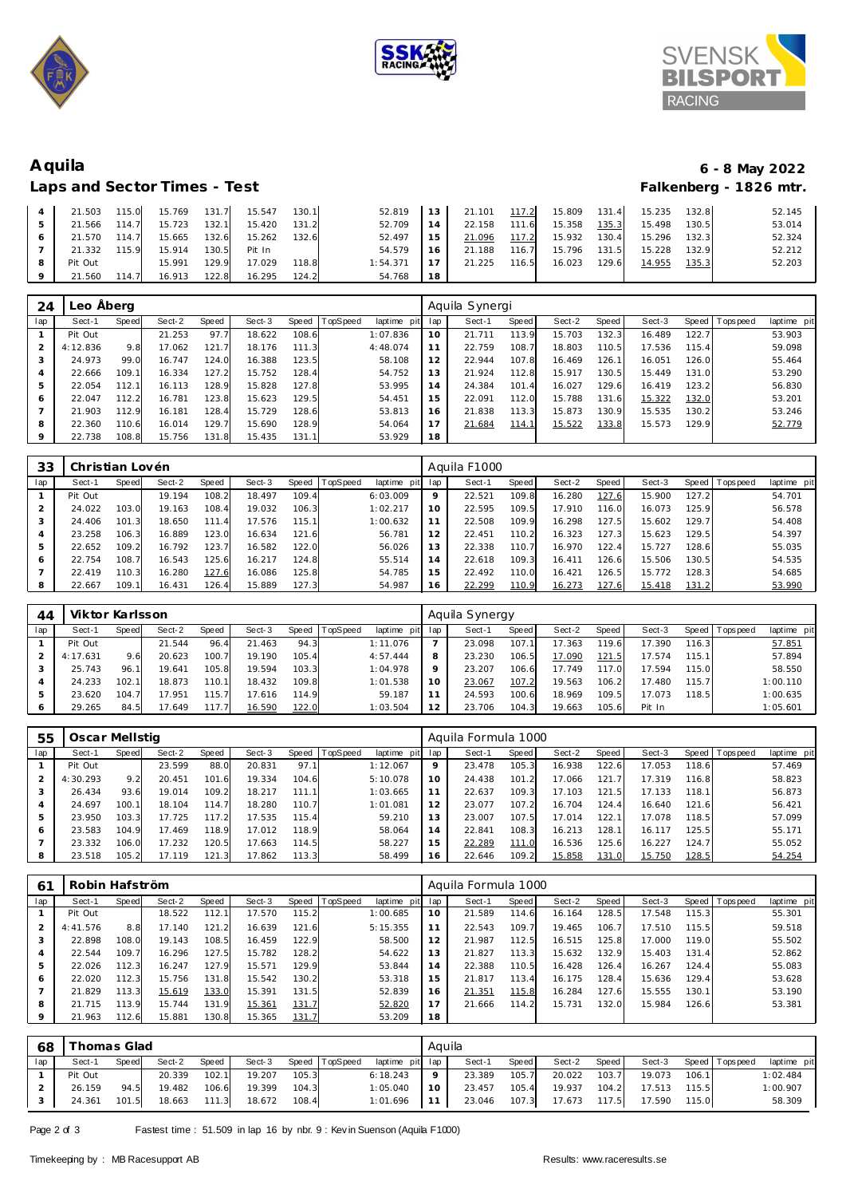





# **Aquila 6 - 8 May 2022** Laps and Sector Times - Test

|         | 21.503  | 115.0 | 15.769 | 131.7 | 15.547 | 130.1 | 52.819   | 13 <sup>1</sup> | 21.101 | 117.2 | 15.809 | 131.4 | 15.235 | 132.8 | 52.145 |
|---------|---------|-------|--------|-------|--------|-------|----------|-----------------|--------|-------|--------|-------|--------|-------|--------|
|         | 21.566  | 114.7 | 15.723 | 132.1 | 15.420 | 131.2 | 52.709   | 14              | 22.158 | 111.6 | 15.358 | 135.3 | 15.498 | 130.5 | 53.014 |
|         | 21.570  | 114.7 | 15.665 | 132.6 | 15.262 | 132.6 | 52.497   | 15              | 21.096 | 117.2 | 15.932 | 130.4 | 15.296 | 132.3 | 52.324 |
|         | 21.332  | 115.9 | 15.914 | 130.5 | Pit In |       | 54.579   | 16              | 21.188 | 116.7 | 15.796 | 131.5 | 15.228 | 132.9 | 52.212 |
| 8       | Pit Out |       | 15.991 | 129.9 | 17.029 | 118.8 | 1:54.371 |                 | 21.225 | 116.5 | 16.023 | 129.6 | 14.955 | 135.3 | 52.203 |
| $\circ$ | 21.560  | 114.7 | 16.913 | 122.8 | 16.295 | 124.2 | 54.768   | 18              |        |       |        |       |        |       |        |

| 24  | Leo Åberg |       |        |       |        |       |          |                |     | Aquila Synergi |       |        |              |        |       |                |             |
|-----|-----------|-------|--------|-------|--------|-------|----------|----------------|-----|----------------|-------|--------|--------------|--------|-------|----------------|-------------|
| lap | Sect-1    | Speed | Sect-2 | Speed | Sect-3 | Speed | TopSpeed | laptime<br>pit | lap | Sect-1         | Speed | Sect-2 | <b>Speed</b> | Sect-3 |       | Speed Topspeed | laptime pit |
|     | Pit Out   |       | 21.253 | 97.7  | 18.622 | 108.6 |          | 1:07.836       | 10  | 21.711         | 113.9 | 15.703 | 132.3        | 16.489 | 122.7 |                | 53.903      |
|     | 4:12.836  | 9.8   | 17.062 | 121.7 | 18.176 | 111.3 |          | 4:48.074       |     | 22.759         | 108.7 | 18.803 | 110.5        | 17.536 | 115.4 |                | 59.098      |
| 3   | 24.973    | 99.0  | 16.747 | 124.0 | 16.388 | 123.5 |          | 58.108         | 12  | 22.944         | 107.8 | 16.469 | 126.1        | 16.051 | 126.0 |                | 55.464      |
| 4   | 22.666    | 109.1 | 16.334 | 127.2 | 15.752 | 128.4 |          | 54.752         | 13  | 21.924         | 112.8 | 15.917 | 130.5        | 15.449 | 131.0 |                | 53.290      |
| 5   | 22.054    | 112.1 | 16.113 | 128.9 | 15.828 | 127.8 |          | 53.995         | 14  | 24.384         | 101.4 | 16.027 | 129.6        | 16.419 | 123.2 |                | 56.830      |
| 6   | 22.047    | 112.2 | 16.781 | 123.8 | 15.623 | 129.5 |          | 54.451         | 15  | 22.091         | 112.0 | 15.788 | 131.6        | 15.322 | 132.0 |                | 53.201      |
|     | 21.903    | 112.9 | 16.181 | 128.4 | 15.729 | 128.6 |          | 53.813         | 16  | 21.838         | 113.3 | 15.873 | 130.9        | 15.535 | 130.2 |                | 53.246      |
| 8   | 22.360    | 110.6 | 16.014 | 129.7 | 15.690 | 128.9 |          | 54.064         | 77  | 21.684         | 114.1 | 15.522 | 133.8        | 15.573 | 129.9 |                | 52.779      |
| 9   | 22.738    | 108.8 | 15.756 | 131.8 | 15.435 | 131.1 |          | 53.929         | 18  |                |       |        |              |        |       |                |             |

| 33  | Christian Lovén |              |        |       |        |       |          |                |             | Aguila F1000 |       |        |       |        |       |           |             |
|-----|-----------------|--------------|--------|-------|--------|-------|----------|----------------|-------------|--------------|-------|--------|-------|--------|-------|-----------|-------------|
| lap | Sect-1          | <b>Speed</b> | Sect-2 | Speed | Sect-3 | Speed | TopSpeed | laptime<br>pit | lap         | Sect-1       | Speed | Sect-2 | Speed | Sect-3 | Speed | Tops peed | laptime pit |
|     | Pit Out         |              | 19.194 | 108.2 | 18.497 | 109.4 |          | 6:03.009       | $\mathsf Q$ | 22.521       | 109.8 | 16.280 | 127.6 | 15.900 | 127.2 |           | 54.701      |
|     | 24.022          | 103.0        | 19.163 | 108.4 | 19.032 | 106.3 |          | 1:02.217       | 10          | 22.595       | 109.5 | 17.910 | 116.0 | 16.073 | 125.9 |           | 56.578      |
| 3   | 24.406          | 101.3        | 18.650 | 111.4 | 17.576 | 115.1 |          | 1:00.632       |             | 22.508       | 109.9 | 16.298 | 127.5 | 15.602 | 129.7 |           | 54.408      |
| 4   | 23.258          | 106.3        | 16.889 | 123.0 | 16.634 | 121.6 |          | 56.781         | 12          | 22.451       | 110.2 | 16.323 | 127.3 | 15.623 | 129.5 |           | 54.397      |
| 5   | 22.652          | 109.2        | 16.792 | 123.7 | 16.582 | 122.0 |          | 56.026         | 3 ا         | 22.338       | 110.7 | 16.970 | 122.4 | 15.727 | 128.6 |           | 55.035      |
| 6   | 22.754          | 108.7        | 16.543 | 125.6 | 16.217 | 124.8 |          | 55.514         | 14          | 22.618       | 109.3 | 16.411 | 126.6 | 15.506 | 130.5 |           | 54.535      |
|     | 22.419          | 110.3        | 16.280 | 127.6 | 16.086 | 125.8 |          | 54.785         | 15          | 22.492       | 110.0 | 16.421 | 126.5 | 15.772 | 128.3 |           | 54.685      |
| 8   | 22.667          | 109.1        | 16.431 | 126.4 | 15.889 | 127.3 |          | 54.987         | 16          | 22.299       | 110.9 | 16.273 | 127.6 | 15.418 | 131.2 |           | 53.990      |

| 44  | Viktor Karlsson |       |        |       |        |       |          |                |     | Aquila Synergy |              |        |       |        |        |           |             |
|-----|-----------------|-------|--------|-------|--------|-------|----------|----------------|-----|----------------|--------------|--------|-------|--------|--------|-----------|-------------|
| lap | Sect-1          | Speed | Sect-2 | Speed | Sect-3 | Speed | TopSpeed | laptime<br>pit | lap | Sect-1         | <b>Speed</b> | Sect-2 | Speed | Sect-3 | Speed  | Tops peed | laptime pit |
|     | Pit Out         |       | 21.544 | 96.4  | 21.463 | 94.3  |          | 1:11.076       |     | 23.098         | 107.         | 17.363 | 119.6 | 17.390 | 116.3  |           | 57.851      |
|     | 4:17.631        | 9.6   | 20.623 | 100.7 | 19.190 | 105.4 |          | 4:57.444       |     | 23.230         | 106.5        | 17.090 | 121.5 | 17.574 | 115.1. |           | 57.894      |
|     | 25.743          | 96.1  | 19.641 | 105.8 | 19.594 | 103.3 |          | 1:04.978       |     | 23.207         | 106.6        | 17.749 | 117.0 | 17.594 | 115.0  |           | 58.550      |
|     | 24.233          | 102.1 | 18.873 | 110.1 | 18.432 | 109.8 |          | 1:01.538       | 10  | 23.067         | 107.2        | 19.563 | 106.2 | 17.480 | 115.7  |           | 1:00.110    |
|     | 23.620          | 104.7 | 17.951 | 115.7 | 17.616 | 114.9 |          | 59.187         |     | 24.593         | 100.6        | 18.969 | 109.5 | 17.073 | 118.5  |           | 1:00.635    |
|     | 29.265          | 84.5  | 17.649 | 117.7 | 16.590 | 122.0 |          | 1:03.504       |     | 23.706         | 104.3        | 19.663 | 105.6 | Pit In |        |           | 1:05.601    |

| 55  | Oscar Mellstig |       |        |                    |        |       |          |                 |    | Aquila Formula 1000 |       |        |       |        |       |                 |             |
|-----|----------------|-------|--------|--------------------|--------|-------|----------|-----------------|----|---------------------|-------|--------|-------|--------|-------|-----------------|-------------|
| lap | Sect-1         | Speed | Sect-2 | Speed              | Sect-3 | Speed | TopSpeed | laptime pit lap |    | Sect-1              | Speed | Sect-2 | Speed | Sect-3 |       | Speed Tops peed | laptime pit |
|     | Pit Out        |       | 23.599 | 88.C               | 20.831 | 97.1  |          | 1:12.067        | 9  | 23.478              | 105.3 | 16.938 | 122.6 | 17.053 | 118.6 |                 | 57.469      |
|     | 4:30.293       | 9.2   | 20.451 | 101.6              | 19.334 | 104.6 |          | 5:10.078        | 10 | 24.438              | 101.2 | 17.066 | 121.7 | 17.319 | 116.8 |                 | 58.823      |
|     | 26.434         | 93.6  | 19.014 | 109.2 <sub>1</sub> | 18.217 | 111.1 |          | 1:03.665        |    | 22.637              | 109.3 | 17.103 | 121.5 | 17.133 | 118.1 |                 | 56.873      |
|     | 24.697         | 100.1 | 18.104 | 114.7              | 18.280 | 110.7 |          | 1:01.081        | 12 | 23.077              | 107.2 | 16.704 | 124.4 | 16.640 | 121.6 |                 | 56.421      |
|     | 23.950         | 103.3 | 17.725 | 117.2              | 17.535 | 115.4 |          | 59.210          | 13 | 23.007              | 107.5 | 17.014 | 122.1 | 17.078 | 118.5 |                 | 57.099      |
| 6   | 23.583         | 104.9 | 17.469 | 118.9              | 17.012 | 118.9 |          | 58.064          | 14 | 22.841              | 108.3 | 16.213 | 128.1 | 16.117 | 125.5 |                 | 55.171      |
|     | 23.332         | 106.0 | 17.232 | 120.5              | 17.663 | 114.5 |          | 58.227          | 15 | 22.289              | 111.0 | 16.536 | 125.6 | 16.227 | 124.7 |                 | 55.052      |
|     | 23.518         | 105.2 | 17.119 | 121.3              | 17.862 | 113.3 |          | 58.499          | 16 | 22.646              | 109.2 | 15.858 | 131.0 | 15.750 | 128.5 |                 | 54.254      |

| 61  | Robin Hafström |       |        |       |        |       |          |             | Aquila Formula 1000 |        |       |        |       |        |         |           |             |  |
|-----|----------------|-------|--------|-------|--------|-------|----------|-------------|---------------------|--------|-------|--------|-------|--------|---------|-----------|-------------|--|
| lap | Sect-1         | Speed | Sect-2 | Speed | Sect-3 | Speed | TopSpeed | laptime pit | lap                 | Sect-1 | Speed | Sect-2 | Speed | Sect-3 | Speed I | Tops peed | laptime pit |  |
|     | Pit Out        |       | 18.522 | 112.1 | 17.570 | 115.2 |          | 1:00.685    | 10                  | 21.589 | 114.6 | 16.164 | 128.5 | 17.548 | 115.3   |           | 55.301      |  |
|     | 4:41.576       | 8.8   | 17.140 | 121.2 | 16.639 | 121.6 |          | 5:15.355    |                     | 22.543 | 109.7 | 19.465 | 106.7 | 17.510 | 115.5   |           | 59.518      |  |
|     | 22.898         | 108.0 | 19.143 | 108.5 | 16.459 | 122.9 |          | 58.500      | 12                  | 21.987 | 112.5 | 16.515 | 125.8 | 17.000 | 119.0   |           | 55.502      |  |
| 4   | 22.544         | 109.7 | 16.296 | 127.5 | 15.782 | 128.2 |          | 54.622      | 13                  | 21.827 | 113.3 | 15.632 | 132.9 | 15.403 | 131.4   |           | 52.862      |  |
| 5   | 22.026         | 112.3 | 16.247 | 127.9 | 15.571 | 129.9 |          | 53.844      | 14                  | 22.388 | 110.5 | 16.428 | 126.4 | 16.267 | 124.4   |           | 55.083      |  |
| 6   | 22.020         | 112.3 | 15.756 | 131.8 | 15.542 | 130.2 |          | 53.318      | 15                  | 21.817 | 113.4 | 16.175 | 128.4 | 15.636 | 129.4   |           | 53.628      |  |
|     | 21.829         | 113.3 | 15.619 | 133.0 | 15.391 | 131.5 |          | 52.839      | 16                  | 21.351 | 115.8 | 16.284 | 127.6 | 15.555 | 130.1   |           | 53.190      |  |
| 8   | 21.715         | 113.9 | 15.744 | 131.9 | 15.361 | 131.7 |          | 52.820      |                     | 21.666 | 114.2 | 15.731 | 132.0 | 15.984 | 126.6   |           | 53.381      |  |
| - 9 | 21.963         | 112.6 | 15.881 | 130.8 | 15.365 | 131.7 |          | 53.209      | 18                  |        |       |        |       |        |         |           |             |  |

| 68  | Thomas Glad |       |        |       |        |       | Aquila         |                 |         |        |       |        |       |        |       |                |             |
|-----|-------------|-------|--------|-------|--------|-------|----------------|-----------------|---------|--------|-------|--------|-------|--------|-------|----------------|-------------|
| lap | Sect-1      | Speed | Sect-2 | Speed | Sect-3 |       | Speed TopSpeed | laptime pit lap |         | Sect-1 | Speed | Sect-2 | Speed | Sect-3 |       | Speed Topspeed | laptime pit |
|     | Pit Out     |       | 20.339 | 102.1 | 19.207 | 105.3 |                | 6:18.243        | $\circ$ | 23.389 | 105.7 | 20.022 | 103.7 | 19.073 | 106.1 |                | 1:02.484    |
|     | 26.159      | 94.5  | 19.482 | 106.6 | 19.399 | 104.3 |                | 1:05.040        | 10      | 23.457 | 105.4 | 19.937 | 104.2 | 17.513 | 115.5 |                | 1:00.907    |
|     | 24.361      | 101.5 | 18.663 | 111.3 | 18.672 | 108.4 |                | 1:01.696        | 11      | 23.046 | 107.3 | 17.673 | 117.5 | 17.590 | 115.0 |                | 58.309      |